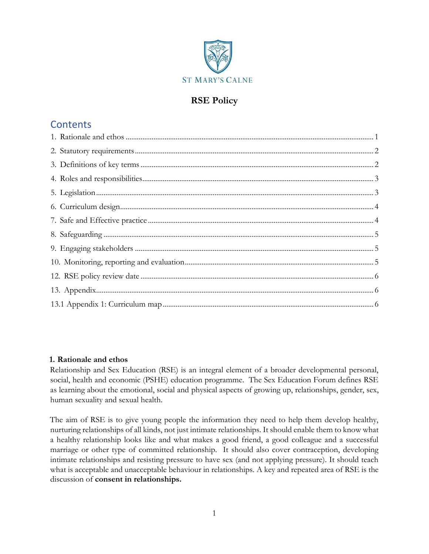

## **RSE Policy**

# **Contents**

#### <span id="page-0-0"></span>**1. Rationale and ethos**

Relationship and Sex Education (RSE) is an integral element of a broader developmental personal, social, health and economic (PSHE) education programme. The Sex Education Forum defines RSE as learning about the emotional, social and physical aspects of growing up, relationships, gender, sex, human sexuality and sexual health.

The aim of RSE is to give young people the information they need to help them develop healthy, nurturing relationships of all kinds, not just intimate relationships. It should enable them to know what a healthy relationship looks like and what makes a good friend, a good colleague and a successful marriage or other type of committed relationship. It should also cover contraception, developing intimate relationships and resisting pressure to have sex (and not applying pressure). It should teach what is acceptable and unacceptable behaviour in relationships. A key and repeated area of RSE is the discussion of **consent in relationships.**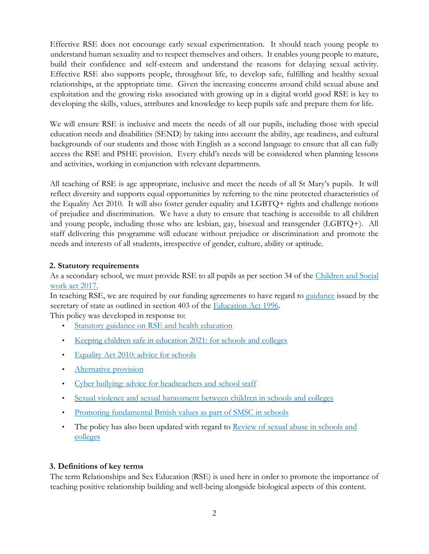Effective RSE does not encourage early sexual experimentation. It should teach young people to understand human sexuality and to respect themselves and others. It enables young people to mature, build their confidence and self-esteem and understand the reasons for delaying sexual activity. Effective RSE also supports people, throughout life, to develop safe, fulfilling and healthy sexual relationships, at the appropriate time. Given the increasing concerns around child sexual abuse and exploitation and the growing risks associated with growing up in a digital world good RSE is key to developing the skills, values, attributes and knowledge to keep pupils safe and prepare them for life.

We will ensure RSE is inclusive and meets the needs of all our pupils, including those with special education needs and disabilities (SEND) by taking into account the ability, age readiness, and cultural backgrounds of our students and those with English as a second language to ensure that all can fully access the RSE and PSHE provision. Every child's needs will be considered when planning lessons and activities, working in conjunction with relevant departments.

All teaching of RSE is age appropriate, inclusive and meet the needs of all St Mary's pupils. It will reflect diversity and supports equal opportunities by referring to the nine protected characteristics of the Equality Act 2010. It will also foster gender equality and LGBTQ+ rights and challenge notions of prejudice and discrimination. We have a duty to ensure that teaching is accessible to all children and young people, including those who are lesbian, gay, bisexual and transgender (LGBTQ+). All staff delivering this programme will educate without prejudice or discrimination and promote the needs and interests of all students, irrespective of gender, culture, ability or aptitude.

### <span id="page-1-0"></span>**2. Statutory requirements**

As a secondary school, we must provide RSE to all pupils as per section 34 of the Children and Social work act 2017.

In teaching RSE, we are required by our funding agreements to have regard to guidance issued by the secretary of state as outlined in section 403 of the Education Act 1996.

This policy was developed in response to:

- Statutory guidance on RSE and health education
- [Keeping children safe in education](https://assets.publishing.service.gov.uk/government/uploads/system/uploads/attachment_data/file/1020050/KCSIE_2021_September_guidance.pdf) [2021: for](https://assets.publishing.service.gov.uk/government/uploads/system/uploads/attachment_data/file/1020050/KCSIE_2021_September_guidance.pdf) [schools and colleges](https://assets.publishing.service.gov.uk/government/uploads/system/uploads/attachment_data/file/1020050/KCSIE_2021_September_guidance.pdf)
- Equality Act 2010: advice for schools
- Alternative provision
- Cyber bullying: advice for headteachers and school staff
- Sexual violence and sexual harassment between children in schools and colleges
- Promoting fundamental British values as part of SMSC in schools
- The policy has also been updated with regard to [Review of sexual abuse in schools and](https://www.gov.uk/government/publications/review-of-sexual-abuse-in-schools-and-colleges/review-of-sexual-abuse-in-schools-and-colleges) [colleges](https://www.gov.uk/government/publications/review-of-sexual-abuse-in-schools-and-colleges/review-of-sexual-abuse-in-schools-and-colleges)

#### <span id="page-1-1"></span>**3. Definitions of key terms**

The term Relationships and Sex Education (RSE) is used here in order to promote the importance of teaching positive relationship building and well-being alongside biological aspects of this content.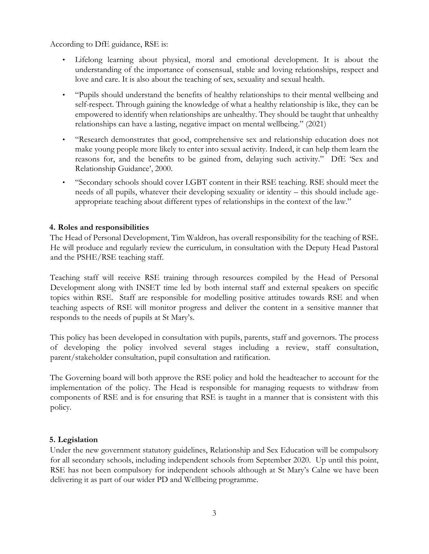According to DfE guidance, RSE is:

- Lifelong learning about physical, moral and emotional development. It is about the understanding of the importance of consensual, stable and loving relationships, respect and love and care. It is also about the teaching of sex, sexuality and sexual health.
- "Pupils should understand the benefits of healthy relationships to their mental wellbeing and self-respect. Through gaining the knowledge of what a healthy relationship is like, they can be empowered to identify when relationships are unhealthy. They should be taught that unhealthy relationships can have a lasting, negative impact on mental wellbeing." (2021)
- "Research demonstrates that good, comprehensive sex and relationship education does not make young people more likely to enter into sexual activity. Indeed, it can help them learn the reasons for, and the benefits to be gained from, delaying such activity." DfE 'Sex and Relationship Guidance', 2000.
- "Secondary schools should cover LGBT content in their RSE teaching. RSE should meet the needs of all pupils, whatever their developing sexuality or identity – this should include ageappropriate teaching about different types of relationships in the context of the law."

#### <span id="page-2-0"></span>**4. Roles and responsibilities**

The Head of Personal Development, Tim Waldron, has overall responsibility for the teaching of RSE. He will produce and regularly review the curriculum, in consultation with the Deputy Head Pastoral and the PSHE/RSE teaching staff.

Teaching staff will receive RSE training through resources compiled by the Head of Personal Development along with INSET time led by both internal staff and external speakers on specific topics within RSE. Staff are responsible for modelling positive attitudes towards RSE and when teaching aspects of RSE will monitor progress and deliver the content in a sensitive manner that responds to the needs of pupils at St Mary's.

This policy has been developed in consultation with pupils, parents, staff and governors. The process of developing the policy involved several stages including a review, staff consultation, parent/stakeholder consultation, pupil consultation and ratification.

The Governing board will both approve the RSE policy and hold the headteacher to account for the implementation of the policy. The Head is responsible for managing requests to withdraw from components of RSE and is for ensuring that RSE is taught in a manner that is consistent with this policy.

#### <span id="page-2-1"></span>**5. Legislation**

Under the new government statutory guidelines, Relationship and Sex Education will be compulsory for all secondary schools, including independent schools from September 2020. Up until this point, RSE has not been compulsory for independent schools although at St Mary's Calne we have been delivering it as part of our wider PD and Wellbeing programme.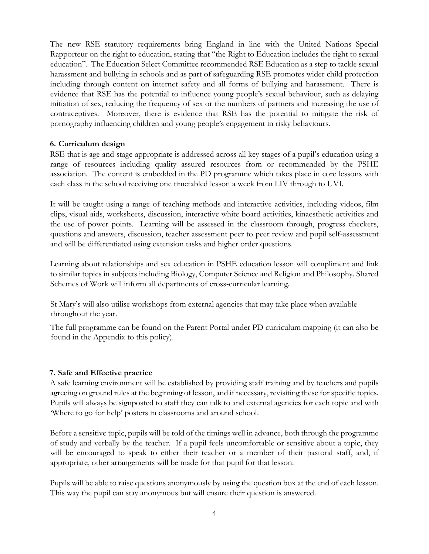The new RSE statutory requirements bring England in line with the United Nations Special Rapporteur on the right to education, stating that "the Right to Education includes the right to sexual education". The Education Select Committee recommended RSE Education as a step to tackle sexual harassment and bullying in schools and as part of safeguarding RSE promotes wider child protection including through content on internet safety and all forms of bullying and harassment. There is evidence that RSE has the potential to influence young people's sexual behaviour, such as delaying initiation of sex, reducing the frequency of sex or the numbers of partners and increasing the use of contraceptives. Moreover, there is evidence that RSE has the potential to mitigate the risk of pornography influencing children and young people's engagement in risky behaviours.

#### <span id="page-3-0"></span>**6. Curriculum design**

RSE that is age and stage appropriate is addressed across all key stages of a pupil's education using a range of resources including quality assured resources from or recommended by the PSHE association. The content is embedded in the PD programme which takes place in core lessons with each class in the school receiving one timetabled lesson a week from LIV through to UVI.

It will be taught using a range of teaching methods and interactive activities, including videos, film clips, visual aids, worksheets, discussion, interactive white board activities, kinaesthetic activities and the use of power points. Learning will be assessed in the classroom through, progress checkers, questions and answers, discussion, teacher assessment peer to peer review and pupil self-assessment and will be differentiated using extension tasks and higher order questions.

Learning about relationships and sex education in PSHE education lesson will compliment and link to similar topics in subjects including Biology, Computer Science and Religion and Philosophy. Shared Schemes of Work will inform all departments of cross-curricular learning.

St Mary's will also utilise workshops from external agencies that may take place when available throughout the year.

The full programme can be found on the Parent Portal under PD curriculum mapping (it can also be found in the Appendix to this policy).

#### <span id="page-3-1"></span>**7. Safe and Effective practice**

A safe learning environment will be established by providing staff training and by teachers and pupils agreeing on ground rules at the beginning of lesson, and if necessary, revisiting these for specific topics. Pupils will always be signposted to staff they can talk to and external agencies for each topic and with 'Where to go for help' posters in classrooms and around school.

Before a sensitive topic, pupils will be told of the timings well in advance, both through the programme of study and verbally by the teacher. If a pupil feels uncomfortable or sensitive about a topic, they will be encouraged to speak to either their teacher or a member of their pastoral staff, and, if appropriate, other arrangements will be made for that pupil for that lesson.

Pupils will be able to raise questions anonymously by using the question box at the end of each lesson. This way the pupil can stay anonymous but will ensure their question is answered.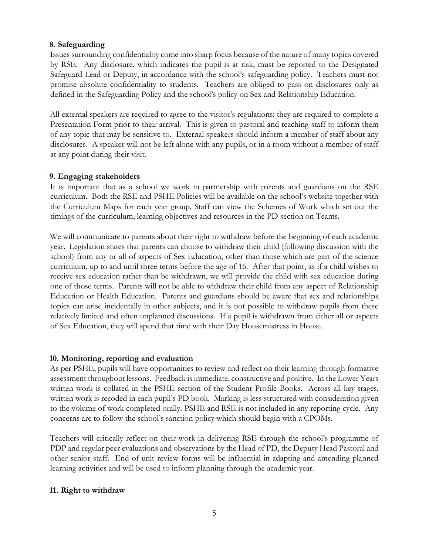#### <span id="page-4-0"></span>**8. Safeguarding**

Issues surrounding confidentiality come into sharp focus because of the nature of many topics covered by RSE. Any disclosure, which indicates the pupil is at risk, must be reported to the Designated Safeguard Lead or Deputy, in accordance with the school's safeguarding policy. Teachers must not promise absolute confidentiality to students. Teachers are obliged to pass on disclosures only as defined in the Safeguarding Policy and the school's policy on Sex and Relationship Education.

All external speakers are required to agree to the visitor's regulations: they are required to complete a Presentation Form prior to their arrival. This is given to pastoral and teaching staff to inform them of any topic that may be sensitive to. External speakers should inform a member of staff about any disclosures. A speaker will not be left alone with any pupils, or in a room without a member of staff at any point during their visit.

#### <span id="page-4-1"></span>**9. Engaging stakeholders**

It is important that as a school we work in partnership with parents and guardians on the RSE curriculum. Both the RSE and PSHE Policies will be available on the school's website together with the Curriculum Maps for each year group. Staff can view the Schemes of Work which set out the timings of the curriculum, learning objectives and resources in the PD section on Teams.

We will communicate to parents about their right to withdraw before the beginning of each academic year. Legislation states that parents can choose to withdraw their child (following discussion with the school) from any or all of aspects of Sex Education, other than those which are part of the science curriculum, up to and until three terms before the age of 16. After that point, as if a child wishes to receive sex education rather than be withdrawn, we will provide the child with sex education during one of those terms. Parents will not be able to withdraw their child from any aspect of Relationship Education or Health Education. Parents and guardians should be aware that sex and relationships topics can arise incidentally in other subjects, and it is not possible to withdraw pupils from these relatively limited and often unplanned discussions. If a pupil is withdrawn from either all or aspects of Sex Education, they will spend that time with their Day Housemistress in House.

#### <span id="page-4-2"></span>**10. Monitoring, reporting and evaluation**

As per PSHE, pupils will have opportunities to review and reflect on their learning through formative assessment throughout lessons. Feedback is immediate, constructive and positive. In the Lower Years written work is collated in the PSHE section of the Student Profile Books. Across all key stages, written work is recoded in each pupil's PD book. Marking is less structured with consideration given to the volume of work completed orally. PSHE and RSE is not included in any reporting cycle. Any concerns are to follow the school's sanction policy which should begin with a CPOMs.

Teachers will critically reflect on their work in delivering RSE through the school's programme of PDP and regular peer evaluations and observations by the Head of PD, the Deputy Head Pastoral and other senior staff. End of unit review forms will be influential in adapting and amending planned learning activities and will be used to inform planning through the academic year.

#### **11. Right to withdraw**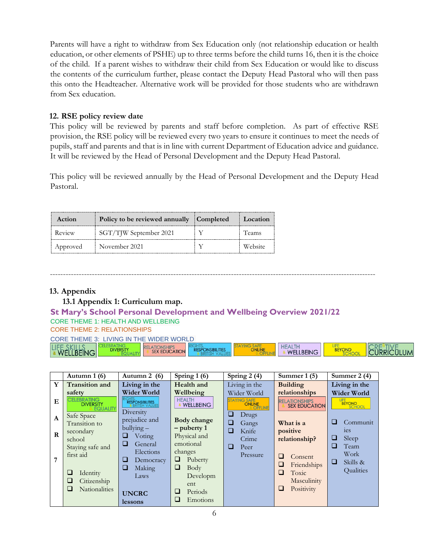Parents will have a right to withdraw from Sex Education only (not relationship education or health education, or other elements of PSHE) up to three terms before the child turns 16, then it is the choice of the child. If a parent wishes to withdraw their child from Sex Education or would like to discuss the contents of the curriculum further, please contact the Deputy Head Pastoral who will then pass this onto the Headteacher. Alternative work will be provided for those students who are withdrawn from Sex education.

#### <span id="page-5-0"></span>**12. RSE policy review date**

This policy will be reviewed by parents and staff before completion. As part of effective RSE provision, the RSE policy will be reviewed every two years to ensure it continues to meet the needs of pupils, staff and parents and that is in line with current Department of Education advice and guidance. It will be reviewed by the Head of Personal Development and the Deputy Head Pastoral.

This policy will be reviewed annually by the Head of Personal Development and the Deputy Head Pastoral.

| Action   | Policy to be reviewed annually Completed | Location |
|----------|------------------------------------------|----------|
| Review   | SGT/TJW September 2021                   | Teams    |
| Approved | November 2021                            | Website  |

#### ----------------------------------------------------------------------------------------------------------------------------

#### <span id="page-5-2"></span><span id="page-5-1"></span>**13. Appendix**

#### **13.1 Appendix 1: Curriculum map.**

### **St Mary's School Personal Development and Wellbeing Overview 2021/22**  CORE THEME 1: HEALTH AND WELLBEING

#### CORE THEME 2: RELATIONSHIPS

| CORE THEME 3: LIVING IN THE WIDER WORLD |                  |                                           |                         |  |                                   |  |                   |
|-----------------------------------------|------------------|-------------------------------------------|-------------------------|--|-----------------------------------|--|-------------------|
| LIFE SKILLS                             | <b>DIVERSITY</b> | <b>ATIONSHIPS</b><br><b>SEX EDUCATION</b> | <b>RESPONSIBILITIES</b> |  | <b>HEALTH</b><br><b>WELLBEING</b> |  | <b>CURRICULUM</b> |

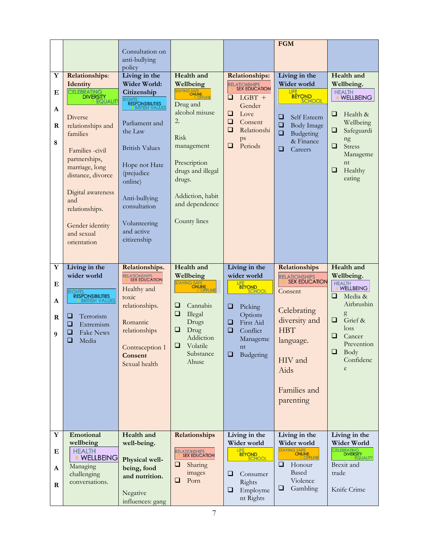|              |                                          |                                                 |                                  |                                          | <b>FGM</b>                                                       |                                       |
|--------------|------------------------------------------|-------------------------------------------------|----------------------------------|------------------------------------------|------------------------------------------------------------------|---------------------------------------|
|              |                                          | Consultation on                                 |                                  |                                          |                                                                  |                                       |
|              |                                          | anti-bullying                                   |                                  |                                          |                                                                  |                                       |
|              |                                          | policy                                          |                                  |                                          |                                                                  |                                       |
| Y            | <b>Relationships:</b>                    | Living in the                                   | Health and                       | <b>Relationships:</b>                    | Living in the                                                    | Health and                            |
|              | Identity<br><b>CELEBRATING</b>           | Wider World:                                    | Wellbeing<br>STAYING SAFE        | <b>RELATIONSHIPS<br/>8 SEX EDUCATION</b> | Wider world<br>LIFE                                              | Wellbeing.<br><b>HEALTH</b>           |
| Е            | <b>DIVERSITY</b><br>EQUALIT              | Citizenship                                     |                                  | $LGBT +$<br>⊔                            | BEYOND<br>SCHOOL                                                 | & WELLBEING                           |
| $\mathbf{A}$ |                                          | RIGHTS,<br>RESPONSIBILITIES<br>& BRITISH VALUES | Drug and                         | Gender                                   |                                                                  |                                       |
|              | Diverse                                  |                                                 | alcohol misuse                   | Love<br>⊔                                | ❏<br>Self Esteem                                                 | Health &<br>⊔                         |
| R            | relationships and                        | Parliament and                                  | 2.                               | ❏<br>Consent<br>$\Box$                   | ❏<br>Body Image                                                  | Wellbeing                             |
|              | families                                 | the Law                                         | Risk                             | Relationshi                              | ❏<br>Budgeting                                                   | ❏<br>Safeguardi                       |
| 8            |                                          | <b>British Values</b>                           | management                       | ps<br>Periods<br>⊔                       | & Finance                                                        | ng<br>❏<br><b>Stress</b>              |
|              | Families -civil                          |                                                 |                                  |                                          | ❏<br>Careers                                                     | Manageme                              |
|              | partnerships,                            | Hope not Hate                                   | Prescription                     |                                          |                                                                  | nt                                    |
|              | marriage, long<br>distance, divorce      | (prejudice                                      | drugs and illegal                |                                          |                                                                  | ❏<br>Healthy                          |
|              |                                          | online)                                         | drugs.                           |                                          |                                                                  | eating                                |
|              | Digital awareness                        |                                                 |                                  |                                          |                                                                  |                                       |
|              | and                                      | Anti-bullying                                   | Addiction, habit                 |                                          |                                                                  |                                       |
|              | relationships.                           | consultation                                    | and dependence                   |                                          |                                                                  |                                       |
|              |                                          |                                                 | County lines                     |                                          |                                                                  |                                       |
|              | Gender identity                          | Volunteering<br>and active                      |                                  |                                          |                                                                  |                                       |
|              | and sexual                               | citizenship                                     |                                  |                                          |                                                                  |                                       |
|              | orientation                              |                                                 |                                  |                                          |                                                                  |                                       |
|              |                                          |                                                 |                                  |                                          |                                                                  |                                       |
| Y            | Living in the                            | Relationships.                                  | Health and                       | Living in the                            | Relationships                                                    | Health and                            |
|              | wider world                              | <b>RELATIONSHIPS<br/>8. SEX EDUCATION</b>       | Wellbeing                        | wider world                              | <b>RELATIONSHIPS<br/>  &amp; SEX EDUCATION</b>                   | Wellbeing.                            |
| Е            |                                          | Healthy and                                     | STAYING SAFE                     | LIFE BEYOND                              |                                                                  | <b>HEALTH</b><br>& WELLBEING          |
|              | <b>RIGHTS</b><br><b>RESPONSIBILITIES</b> | toxic                                           |                                  |                                          | Consent                                                          | Media &<br>u                          |
| A            | & BRITISH VALUES                         | relationships.                                  | ⊔<br>Cannabis                    | ⊔<br>Picking                             |                                                                  | Airbrushin                            |
| $\bf R$      | u<br>Terrorism                           |                                                 | ❏<br>Illegal                     | Options                                  | Celebrating                                                      | g                                     |
|              | Extremism<br>⊔                           | Romantic                                        | Drugs                            | $\Box$<br>First Aid                      | diversity and                                                    | Grief &<br>⊔<br>loss                  |
| 9            | <b>Fake News</b><br>⊔                    | relationships                                   | u<br>Drug<br>Addiction           | □<br>Conflict                            | <b>HBT</b>                                                       | ❏<br>Cancer                           |
|              | ❏<br>Media                               |                                                 | u<br>Volatile                    | Manageme                                 | language.                                                        | Prevention                            |
|              |                                          | Contraception 1<br>Consent                      | Substance                        | nt<br>Budgeting<br>❏                     |                                                                  | $\Box$ Body                           |
|              |                                          |                                                 |                                  |                                          |                                                                  |                                       |
|              |                                          |                                                 | Abuse                            |                                          | HIV and                                                          | Confidenc                             |
|              |                                          | Sexual health                                   |                                  |                                          | Aids                                                             | e                                     |
|              |                                          |                                                 |                                  |                                          |                                                                  |                                       |
|              |                                          |                                                 |                                  |                                          | Families and                                                     |                                       |
|              |                                          |                                                 |                                  |                                          | parenting                                                        |                                       |
|              |                                          |                                                 |                                  |                                          |                                                                  |                                       |
|              |                                          |                                                 |                                  |                                          |                                                                  |                                       |
|              |                                          |                                                 |                                  |                                          |                                                                  |                                       |
| $\mathbf Y$  | Emotional                                | Health and                                      | Relationships                    | Living in the                            | Living in the                                                    | Living in the                         |
|              | wellbeing                                | well-being.                                     |                                  | Wider world                              | Wider world                                                      | Wider World                           |
| Ε            | <b>HEALTH</b><br>& WELLBEING             |                                                 | RELATIONSHIPS<br>8 SEX EDUCATION | BEYOND<br>SCHOOL                         |                                                                  | ELEBRATING<br>DIVERSITY<br>& EQUALITI |
| A            | Managing                                 | Physical well-<br>being, food                   | u<br>Sharing                     |                                          | <b>WILLER</b><br>STAYING SAFE<br>ONLINE<br>ONLINE<br>❏<br>Honour | Brexit and                            |
|              | challenging                              | and nutrition.                                  | images                           | ❏<br>Consumer                            | Based                                                            | trade                                 |
| $\bf{R}$     | conversations.                           |                                                 | u<br>Porn                        | Rights                                   | Violence<br>$\Box$                                               |                                       |
|              |                                          | Negative<br>influences: gang                    |                                  | Employme<br>⊔<br>nt Rights               | Gambling                                                         | Knife Crime                           |